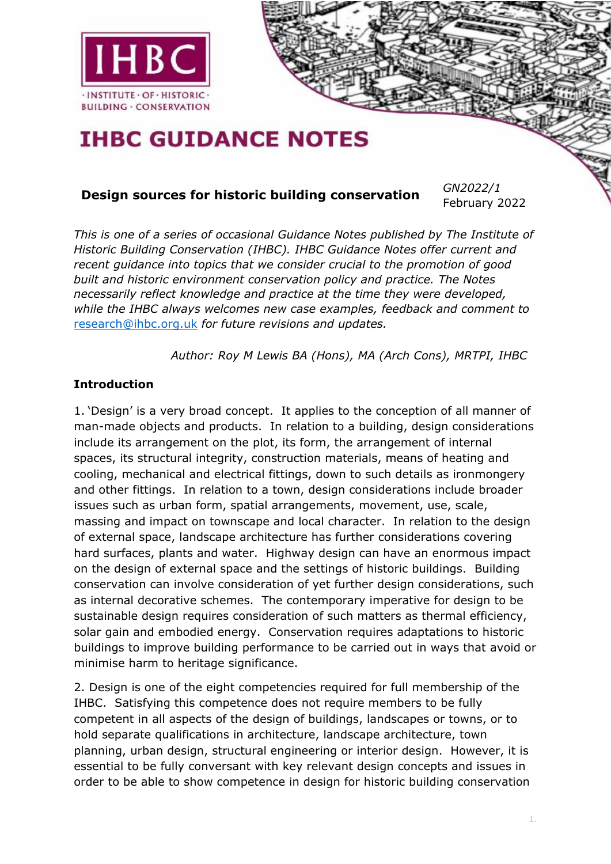

# **IHBC GUIDANCE NOTES**

## **Design sources for historic building conservation** *GN2022/1*

February 2022

*This is one of a series of occasional Guidance Notes published by The Institute of Historic Building Conservation (IHBC). IHBC Guidance Notes offer current and recent guidance into topics that we consider crucial to the promotion of good built and historic environment conservation policy and practice. The Notes necessarily reflect knowledge and practice at the time they were developed, while the IHBC always welcomes new case examples, feedback and comment to*  research@ihbc.org.uk *for future revisions and updates.*

*[Author: R](mailto:research@ihbc.org.uk)oy M Lewis BA (Hons), MA (Arch Cons), MRTPI, IHBC*

#### **Introduction**

1. 'Design' is a very broad concept. It applies to the conception of all manner of man-made objects and products. In relation to a building, design considerations include its arrangement on the plot, its form, the arrangement of internal spaces, its structural integrity, construction materials, means of heating and cooling, mechanical and electrical fittings, down to such details as ironmongery and other fittings. In relation to a town, design considerations include broader issues such as urban form, spatial arrangements, movement, use, scale, massing and impact on townscape and local character. In relation to the design of external space, landscape architecture has further considerations covering hard surfaces, plants and water. Highway design can have an enormous impact on the design of external space and the settings of historic buildings. Building conservation can involve consideration of yet further design considerations, such as internal decorative schemes. The contemporary imperative for design to be sustainable design requires consideration of such matters as thermal efficiency, solar gain and embodied energy. Conservation requires adaptations to historic buildings to improve building performance to be carried out in ways that avoid or minimise harm to heritage significance.

2. Design is one of the eight competencies required for full membership of the IHBC. Satisfying this competence does not require members to be fully competent in all aspects of the design of buildings, landscapes or towns, or to hold separate qualifications in architecture, landscape architecture, town planning, urban design, structural engineering or interior design. However, it is essential to be fully conversant with key relevant design concepts and issues in order to be able to show competence in design for historic building conservation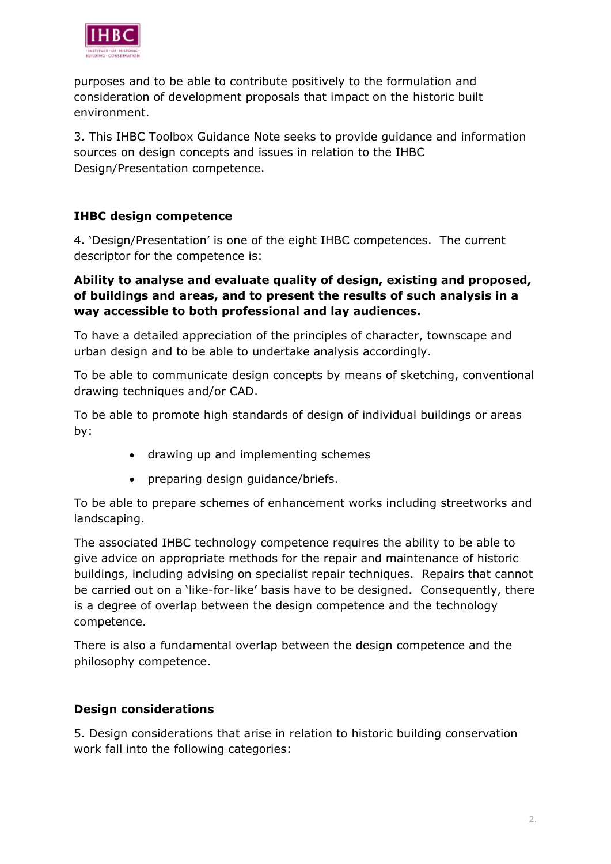

purposes and to be able to contribute positively to the formulation and consideration of development proposals that impact on the historic built environment.

3. This IHBC Toolbox Guidance Note seeks to provide guidance and information sources on design concepts and issues in relation to the IHBC Design/Presentation competence.

#### **IHBC design competence**

4. 'Design/Presentation' is one of the eight IHBC competences. The current descriptor for the competence is:

#### **Ability to analyse and evaluate quality of design, existing and proposed, of buildings and areas, and to present the results of such analysis in a way accessible to both professional and lay audiences.**

To have a detailed appreciation of the principles of character, townscape and urban design and to be able to undertake analysis accordingly.

To be able to communicate design concepts by means of sketching, conventional drawing techniques and/or CAD.

To be able to promote high standards of design of individual buildings or areas by:

- drawing up and implementing schemes
- preparing design guidance/briefs.

To be able to prepare schemes of enhancement works including streetworks and landscaping.

The associated IHBC technology competence requires the ability to be able to give advice on appropriate methods for the repair and maintenance of historic buildings, including advising on specialist repair techniques. Repairs that cannot be carried out on a 'like-for-like' basis have to be designed. Consequently, there is a degree of overlap between the design competence and the technology competence.

There is also a fundamental overlap between the design competence and the philosophy competence.

#### **Design considerations**

5. Design considerations that arise in relation to historic building conservation work fall into the following categories: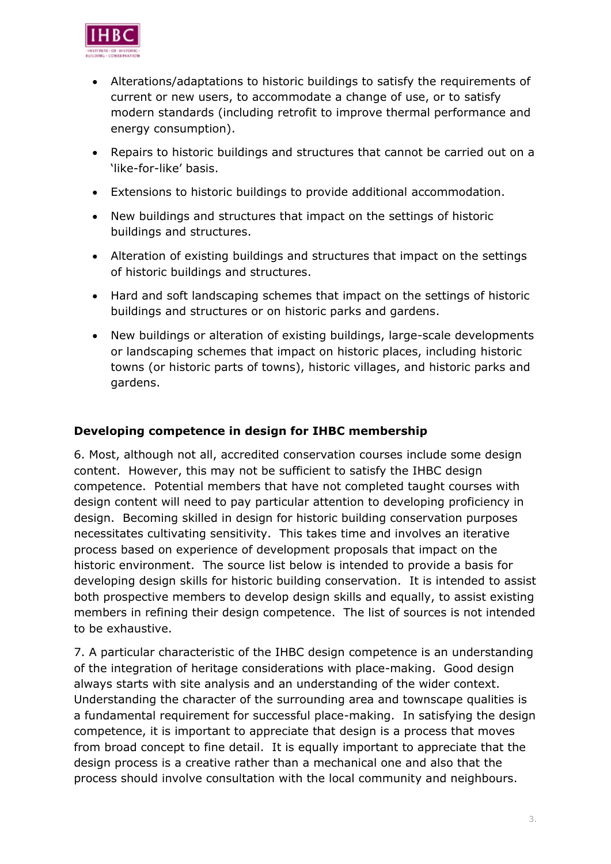

- Alterations/adaptations to historic buildings to satisfy the requirements of current or new users, to accommodate a change of use, or to satisfy modern standards (including retrofit to improve thermal performance and energy consumption).
- Repairs to historic buildings and structures that cannot be carried out on a 'like-for-like' basis.
- Extensions to historic buildings to provide additional accommodation.
- New buildings and structures that impact on the settings of historic buildings and structures.
- Alteration of existing buildings and structures that impact on the settings of historic buildings and structures.
- Hard and soft landscaping schemes that impact on the settings of historic buildings and structures or on historic parks and gardens.
- New buildings or alteration of existing buildings, large-scale developments or landscaping schemes that impact on historic places, including historic towns (or historic parts of towns), historic villages, and historic parks and gardens.

#### **Developing competence in design for IHBC membership**

6. Most, although not all, accredited conservation courses include some design content. However, this may not be sufficient to satisfy the IHBC design competence. Potential members that have not completed taught courses with design content will need to pay particular attention to developing proficiency in design. Becoming skilled in design for historic building conservation purposes necessitates cultivating sensitivity. This takes time and involves an iterative process based on experience of development proposals that impact on the historic environment. The source list below is intended to provide a basis for developing design skills for historic building conservation. It is intended to assist both prospective members to develop design skills and equally, to assist existing members in refining their design competence. The list of sources is not intended to be exhaustive.

7. A particular characteristic of the IHBC design competence is an understanding of the integration of heritage considerations with place-making. Good design always starts with site analysis and an understanding of the wider context. Understanding the character of the surrounding area and townscape qualities is a fundamental requirement for successful place-making. In satisfying the design competence, it is important to appreciate that design is a process that moves from broad concept to fine detail. It is equally important to appreciate that the design process is a creative rather than a mechanical one and also that the process should involve consultation with the local community and neighbours.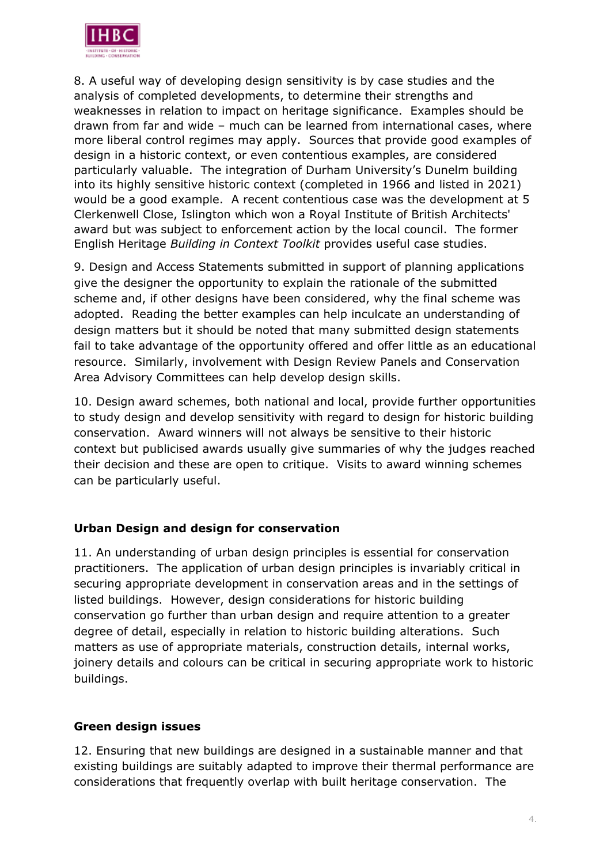

8. A useful way of developing design sensitivity is by case studies and the analysis of completed developments, to determine their strengths and weaknesses in relation to impact on heritage significance. Examples should be drawn from far and wide – much can be learned from international cases, where more liberal control regimes may apply. Sources that provide good examples of design in a historic context, or even contentious examples, are considered particularly valuable. The integration of Durham University's Dunelm building into its highly sensitive historic context (completed in 1966 and listed in 2021) would be a good example. A recent contentious case was the development at 5 Clerkenwell Close, Islington which won a Royal Institute of British Architects' award but was subject to enforcement action by the local council. The former English Heritage *Building in Context Toolkit* provides useful case studies.

9. Design and Access Statements submitted in support of planning applications give the designer the opportunity to explain the rationale of the submitted scheme and, if other designs have been considered, why the final scheme was adopted. Reading the better examples can help inculcate an understanding of design matters but it should be noted that many submitted design statements fail to take advantage of the opportunity offered and offer little as an educational resource. Similarly, involvement with Design Review Panels and Conservation Area Advisory Committees can help develop design skills.

10. Design award schemes, both national and local, provide further opportunities to study design and develop sensitivity with regard to design for historic building conservation. Award winners will not always be sensitive to their historic context but publicised awards usually give summaries of why the judges reached their decision and these are open to critique. Visits to award winning schemes can be particularly useful.

#### **Urban Design and design for conservation**

11. An understanding of urban design principles is essential for conservation practitioners. The application of urban design principles is invariably critical in securing appropriate development in conservation areas and in the settings of listed buildings. However, design considerations for historic building conservation go further than urban design and require attention to a greater degree of detail, especially in relation to historic building alterations. Such matters as use of appropriate materials, construction details, internal works, joinery details and colours can be critical in securing appropriate work to historic buildings.

#### **Green design issues**

12. Ensuring that new buildings are designed in a sustainable manner and that existing buildings are suitably adapted to improve their thermal performance are considerations that frequently overlap with built heritage conservation. The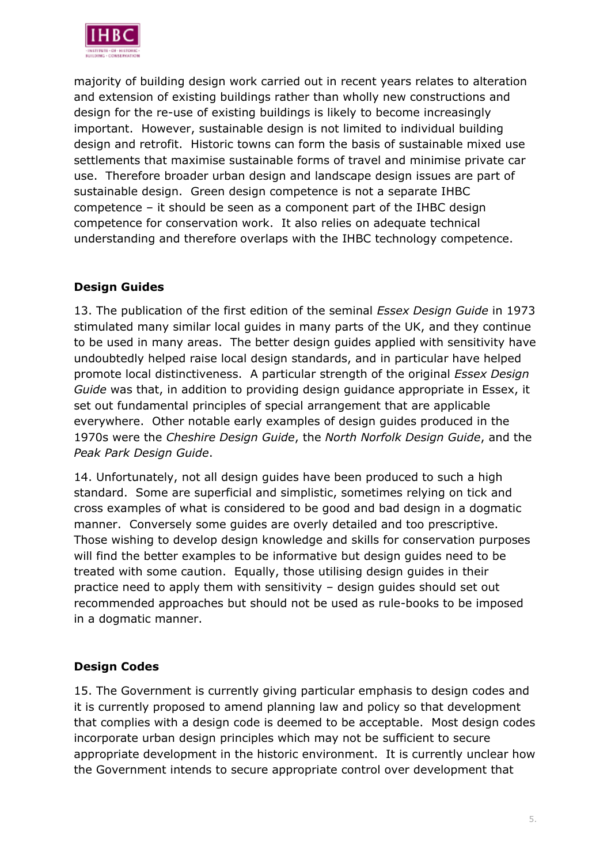

majority of building design work carried out in recent years relates to alteration and extension of existing buildings rather than wholly new constructions and design for the re-use of existing buildings is likely to become increasingly important. However, sustainable design is not limited to individual building design and retrofit. Historic towns can form the basis of sustainable mixed use settlements that maximise sustainable forms of travel and minimise private car use. Therefore broader urban design and landscape design issues are part of sustainable design. Green design competence is not a separate IHBC competence – it should be seen as a component part of the IHBC design competence for conservation work. It also relies on adequate technical understanding and therefore overlaps with the IHBC technology competence.

#### **Design Guides**

13. The publication of the first edition of the seminal *Essex Design Guide* in 1973 stimulated many similar local guides in many parts of the UK, and they continue to be used in many areas. The better design guides applied with sensitivity have undoubtedly helped raise local design standards, and in particular have helped promote local distinctiveness. A particular strength of the original *Essex Design Guide* was that, in addition to providing design guidance appropriate in Essex, it set out fundamental principles of special arrangement that are applicable everywhere. Other notable early examples of design guides produced in the 1970s were the *Cheshire Design Guide*, the *North Norfolk Design Guide*, and the *Peak Park Design Guide*.

14. Unfortunately, not all design guides have been produced to such a high standard. Some are superficial and simplistic, sometimes relying on tick and cross examples of what is considered to be good and bad design in a dogmatic manner. Conversely some guides are overly detailed and too prescriptive. Those wishing to develop design knowledge and skills for conservation purposes will find the better examples to be informative but design guides need to be treated with some caution. Equally, those utilising design guides in their practice need to apply them with sensitivity – design guides should set out recommended approaches but should not be used as rule-books to be imposed in a dogmatic manner.

#### **Design Codes**

15. The Government is currently giving particular emphasis to design codes and it is currently proposed to amend planning law and policy so that development that complies with a design code is deemed to be acceptable. Most design codes incorporate urban design principles which may not be sufficient to secure appropriate development in the historic environment. It is currently unclear how the Government intends to secure appropriate control over development that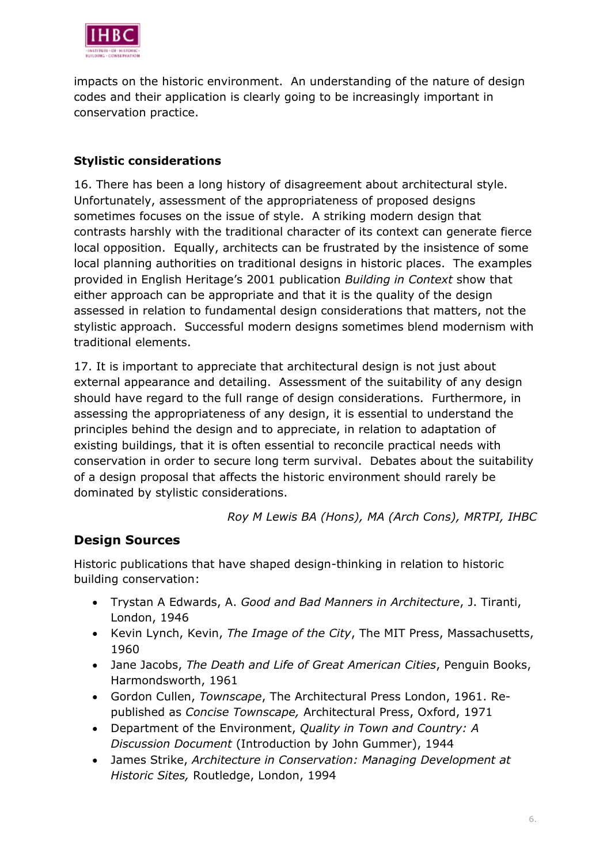

impacts on the historic environment. An understanding of the nature of design codes and their application is clearly going to be increasingly important in conservation practice.

#### **Stylistic considerations**

16. There has been a long history of disagreement about architectural style. Unfortunately, assessment of the appropriateness of proposed designs sometimes focuses on the issue of style. A striking modern design that contrasts harshly with the traditional character of its context can generate fierce local opposition. Equally, architects can be frustrated by the insistence of some local planning authorities on traditional designs in historic places. The examples provided in English Heritage's 2001 publication *Building in Context* show that either approach can be appropriate and that it is the quality of the design assessed in relation to fundamental design considerations that matters, not the stylistic approach. Successful modern designs sometimes blend modernism with traditional elements.

17. It is important to appreciate that architectural design is not just about external appearance and detailing. Assessment of the suitability of any design should have regard to the full range of design considerations. Furthermore, in assessing the appropriateness of any design, it is essential to understand the principles behind the design and to appreciate, in relation to adaptation of existing buildings, that it is often essential to reconcile practical needs with conservation in order to secure long term survival. Debates about the suitability of a design proposal that affects the historic environment should rarely be dominated by stylistic considerations.

*Roy M Lewis BA (Hons), MA (Arch Cons), MRTPI, IHBC*

### **Design Sources**

Historic publications that have shaped design-thinking in relation to historic building conservation:

- Trystan A Edwards, A. *Good and Bad Manners in Architecture*, J. Tiranti, London, 1946
- Kevin Lynch, Kevin, *The Image of the City*, The MIT Press, Massachusetts, 1960
- Jane Jacobs, *The Death and Life of Great American Cities*, Penguin Books, Harmondsworth, 1961
- Gordon Cullen, *Townscape*, The Architectural Press London, 1961. Republished as *Concise Townscape,* Architectural Press, Oxford, 1971
- Department of the Environment, *Quality in Town and Country: A Discussion Document* (Introduction by John Gummer), 1944
- James Strike, *Architecture in Conservation: Managing Development at Historic Sites,* Routledge, London, 1994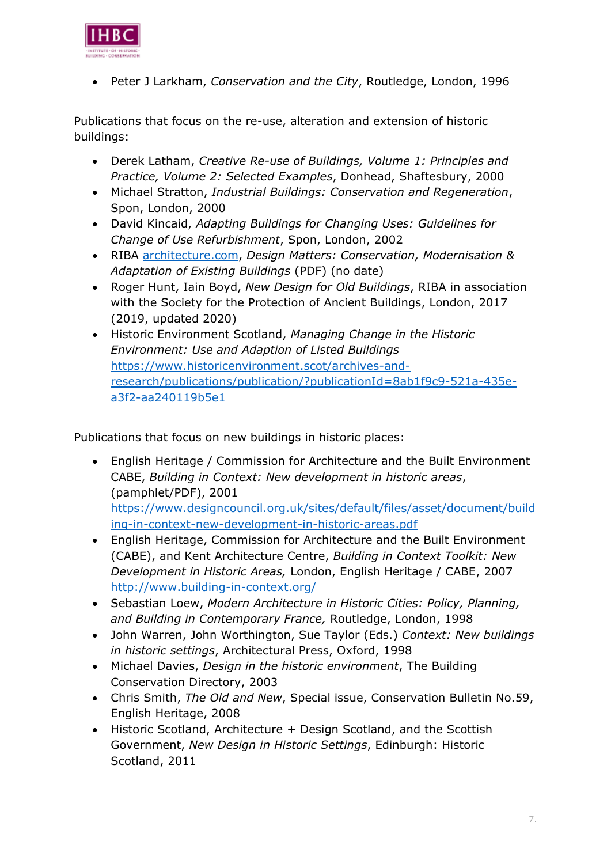

• Peter J Larkham, *Conservation and the City*, Routledge, London, 1996

Publications that focus on the re-use, alteration and extension of historic buildings:

- Derek Latham, *Creative Re-use of Buildings, Volume 1: Principles and Practice, Volume 2: Selected Examples*, Donhead, Shaftesbury, 2000
- Michael Stratton, *Industrial Buildings: Conservation and Regeneration*, Spon, London, 2000
- David Kincaid, *Adapting Buildings for Changing Uses: Guidelines for Change of Use Refurbishment*, Spon, London, 2002
- RIBA [architecture.com,](https://www.architecture.com/knowledge-and-resources/resources-landing-page/conservation-modernisation-and-adaptation-of-existing-buildings) *Design Matters: Conservation, Modernisation & Adaptation of Existing Buildings* (PDF) (no date)
- Roger Hunt, Iain Boyd, *New Design for Old Buildings*, RIBA in association with the Society for the Protection of Ancient Buildings, London, 2017 (2019, updated 2020)
- Historic Environment Scotland, *Managing Change in the Historic Environment: Use and Adaption of Listed Buildings* [https://www.historicenvironment.scot/archives-and](https://www.historicenvironment.scot/archives-and-research/publications/publication/?publicationId=8ab1f9c9-521a-435e-a3f2-aa240119b5e1)[research/publications/publication/?publicationId=8ab1f9c9-521a-435e](https://www.historicenvironment.scot/archives-and-research/publications/publication/?publicationId=8ab1f9c9-521a-435e-a3f2-aa240119b5e1)[a3f2-aa240119b5e1](https://www.historicenvironment.scot/archives-and-research/publications/publication/?publicationId=8ab1f9c9-521a-435e-a3f2-aa240119b5e1)

Publications that focus on new buildings in historic places:

- English Heritage / Commission for Architecture and the Built Environment CABE, *Building in Context: New development in historic areas*, (pamphlet/PDF), 2001 [https://www.designcouncil.org.uk/sites/default/files/asset/document/build](https://www.designcouncil.org.uk/sites/default/files/asset/document/building-in-context-new-development-in-historic-areas.pdf) [ing-in-context-new-development-in-historic-areas.pdf](https://www.designcouncil.org.uk/sites/default/files/asset/document/building-in-context-new-development-in-historic-areas.pdf)
- English Heritage, Commission for Architecture and the Built Environment (CABE), and Kent Architecture Centre, *Building in Context Toolkit: New Development in Historic Areas,* London, English Heritage / CABE, 2007 <http://www.building-in-context.org/>
- Sebastian Loew, *Modern Architecture in Historic Cities: Policy, Planning, and Building in Contemporary France,* Routledge, London, 1998
- John Warren, John Worthington, Sue Taylor (Eds.) *Context: New buildings in historic settings*, Architectural Press, Oxford, 1998
- Michael Davies, *Design in the historic environment*, The Building Conservation Directory, 2003
- Chris Smith, *The Old and New*, Special issue, Conservation Bulletin No.59, English Heritage, 2008
- Historic Scotland, Architecture + Design Scotland, and the Scottish Government, *New Design in Historic Settings*, Edinburgh: Historic Scotland, 2011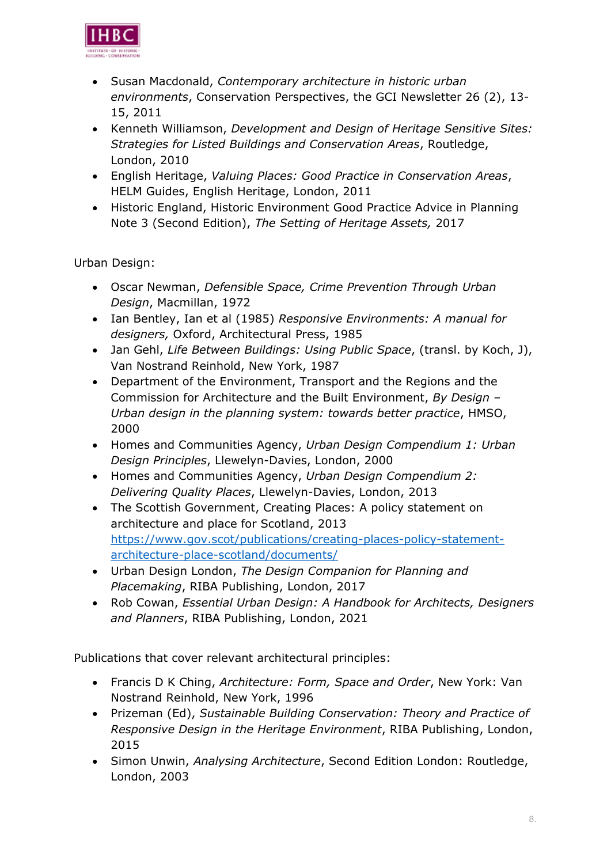

- Susan Macdonald, *Contemporary architecture in historic urban environments*, Conservation Perspectives, the GCI Newsletter 26 (2), 13- 15, 2011
- Kenneth Williamson, *Development and Design of Heritage Sensitive Sites: Strategies for Listed Buildings and Conservation Areas*, Routledge, London, 2010
- English Heritage, *Valuing Places: Good Practice in Conservation Areas*, HELM Guides, English Heritage, London, 2011
- Historic England, Historic Environment Good Practice Advice in Planning Note 3 (Second Edition), *The Setting of Heritage Assets,* 2017

Urban Design:

- Oscar Newman, *Defensible Space, Crime Prevention Through Urban Design*, Macmillan, 1972
- Ian Bentley, Ian et al (1985) *Responsive Environments: A manual for designers,* Oxford, Architectural Press, 1985
- Jan Gehl, *Life Between Buildings: Using Public Space*, (transl. by Koch, J), Van Nostrand Reinhold, New York, 1987
- Department of the Environment, Transport and the Regions and the Commission for Architecture and the Built Environment, *By Design – Urban design in the planning system: towards better practice*, HMSO, 2000
- Homes and Communities Agency, *Urban Design Compendium 1: Urban Design Principles*, Llewelyn-Davies, London, 2000
- Homes and Communities Agency, *Urban Design Compendium 2: Delivering Quality Places*, Llewelyn-Davies, London, 2013
- The Scottish Government, Creating Places: A policy statement on architecture and place for Scotland, 2013 [https://www.gov.scot/publications/creating-places-policy-statement](https://www.gov.scot/publications/creating-places-policy-statement-architecture-place-scotland/documents/)[architecture-place-scotland/documents/](https://www.gov.scot/publications/creating-places-policy-statement-architecture-place-scotland/documents/)
- Urban Design London, *The Design Companion for Planning and Placemaking*, RIBA Publishing, London, 2017
- Rob Cowan, *Essential Urban Design: A Handbook for Architects, Designers and Planners*, RIBA Publishing, London, 2021

Publications that cover relevant architectural principles:

- Francis D K Ching, *Architecture: Form, Space and Order*, New York: Van Nostrand Reinhold, New York, 1996
- Prizeman (Ed), *Sustainable Building Conservation: Theory and Practice of Responsive Design in the Heritage Environment*, RIBA Publishing, London, 2015
- Simon Unwin, *Analysing Architecture*, Second Edition London: Routledge, London, 2003